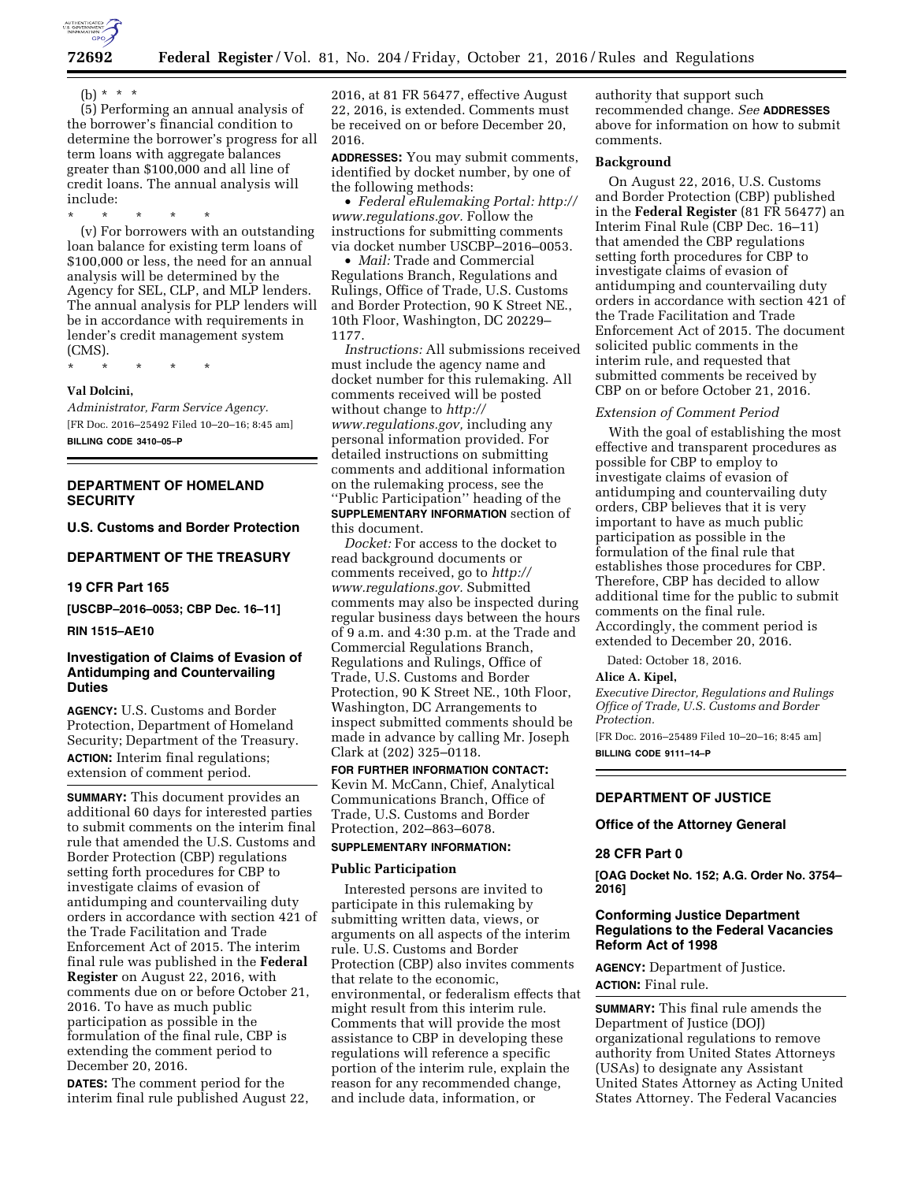

(b) \* \* \*

(5) Performing an annual analysis of the borrower's financial condition to determine the borrower's progress for all term loans with aggregate balances greater than \$100,000 and all line of credit loans. The annual analysis will include:

\* \* \* \* \* (v) For borrowers with an outstanding loan balance for existing term loans of \$100,000 or less, the need for an annual analysis will be determined by the Agency for SEL, CLP, and MLP lenders. The annual analysis for PLP lenders will be in accordance with requirements in lender's credit management system (CMS).

\* \* \* \* \*

# **Val Dolcini,**

*Administrator, Farm Service Agency.*  [FR Doc. 2016–25492 Filed 10–20–16; 8:45 am] **BILLING CODE 3410–05–P** 

# **DEPARTMENT OF HOMELAND SECURITY**

**U.S. Customs and Border Protection** 

### **DEPARTMENT OF THE TREASURY**

#### **19 CFR Part 165**

**[USCBP–2016–0053; CBP Dec. 16–11]** 

### **RIN 1515–AE10**

# **Investigation of Claims of Evasion of Antidumping and Countervailing Duties**

**AGENCY:** U.S. Customs and Border Protection, Department of Homeland Security; Department of the Treasury. **ACTION:** Interim final regulations; extension of comment period.

**SUMMARY:** This document provides an additional 60 days for interested parties to submit comments on the interim final rule that amended the U.S. Customs and Border Protection (CBP) regulations setting forth procedures for CBP to investigate claims of evasion of antidumping and countervailing duty orders in accordance with section 421 of the Trade Facilitation and Trade Enforcement Act of 2015. The interim final rule was published in the **Federal Register** on August 22, 2016, with comments due on or before October 21, 2016. To have as much public participation as possible in the formulation of the final rule, CBP is extending the comment period to December 20, 2016.

**DATES:** The comment period for the interim final rule published August 22,

2016, at 81 FR 56477, effective August 22, 2016, is extended. Comments must be received on or before December 20, 2016.

**ADDRESSES:** You may submit comments, identified by docket number, by one of the following methods:

• *Federal eRulemaking Portal: [http://](http://www.regulations.gov)  [www.regulations.gov.](http://www.regulations.gov)* Follow the instructions for submitting comments via docket number USCBP–2016–0053.

• *Mail:* Trade and Commercial Regulations Branch, Regulations and Rulings, Office of Trade, U.S. Customs and Border Protection, 90 K Street NE., 10th Floor, Washington, DC 20229– 1177.

*Instructions:* All submissions received must include the agency name and docket number for this rulemaking. All comments received will be posted without change to *[http://](http://www.regulations.gov) [www.regulations.gov,](http://www.regulations.gov)* including any personal information provided. For detailed instructions on submitting comments and additional information on the rulemaking process, see the ''Public Participation'' heading of the **SUPPLEMENTARY INFORMATION** section of this document.

*Docket:* For access to the docket to read background documents or comments received, go to *[http://](http://www.regulations.gov) [www.regulations.gov.](http://www.regulations.gov)* Submitted comments may also be inspected during regular business days between the hours of 9 a.m. and 4:30 p.m. at the Trade and Commercial Regulations Branch, Regulations and Rulings, Office of Trade, U.S. Customs and Border Protection, 90 K Street NE., 10th Floor, Washington, DC Arrangements to inspect submitted comments should be made in advance by calling Mr. Joseph Clark at (202) 325–0118.

**FOR FURTHER INFORMATION CONTACT:**  Kevin M. McCann, Chief, Analytical Communications Branch, Office of Trade, U.S. Customs and Border Protection, 202–863–6078.

### **SUPPLEMENTARY INFORMATION:**

### **Public Participation**

Interested persons are invited to participate in this rulemaking by submitting written data, views, or arguments on all aspects of the interim rule. U.S. Customs and Border Protection (CBP) also invites comments that relate to the economic, environmental, or federalism effects that might result from this interim rule. Comments that will provide the most assistance to CBP in developing these regulations will reference a specific portion of the interim rule, explain the reason for any recommended change, and include data, information, or

authority that support such recommended change. *See* **ADDRESSES** above for information on how to submit comments.

### **Background**

On August 22, 2016, U.S. Customs and Border Protection (CBP) published in the **Federal Register** (81 FR 56477) an Interim Final Rule (CBP Dec. 16–11) that amended the CBP regulations setting forth procedures for CBP to investigate claims of evasion of antidumping and countervailing duty orders in accordance with section 421 of the Trade Facilitation and Trade Enforcement Act of 2015. The document solicited public comments in the interim rule, and requested that submitted comments be received by CBP on or before October 21, 2016.

#### *Extension of Comment Period*

With the goal of establishing the most effective and transparent procedures as possible for CBP to employ to investigate claims of evasion of antidumping and countervailing duty orders, CBP believes that it is very important to have as much public participation as possible in the formulation of the final rule that establishes those procedures for CBP. Therefore, CBP has decided to allow additional time for the public to submit comments on the final rule. Accordingly, the comment period is extended to December 20, 2016.

Dated: October 18, 2016.

#### **Alice A. Kipel,**

*Executive Director, Regulations and Rulings Office of Trade, U.S. Customs and Border Protection.* 

[FR Doc. 2016–25489 Filed 10–20–16; 8:45 am] **BILLING CODE 9111–14–P** 

### **DEPARTMENT OF JUSTICE**

#### **Office of the Attorney General**

#### **28 CFR Part 0**

**[OAG Docket No. 152; A.G. Order No. 3754– 2016]** 

### **Conforming Justice Department Regulations to the Federal Vacancies Reform Act of 1998**

**AGENCY:** Department of Justice. **ACTION:** Final rule.

**SUMMARY:** This final rule amends the Department of Justice (DOJ) organizational regulations to remove authority from United States Attorneys (USAs) to designate any Assistant United States Attorney as Acting United States Attorney. The Federal Vacancies